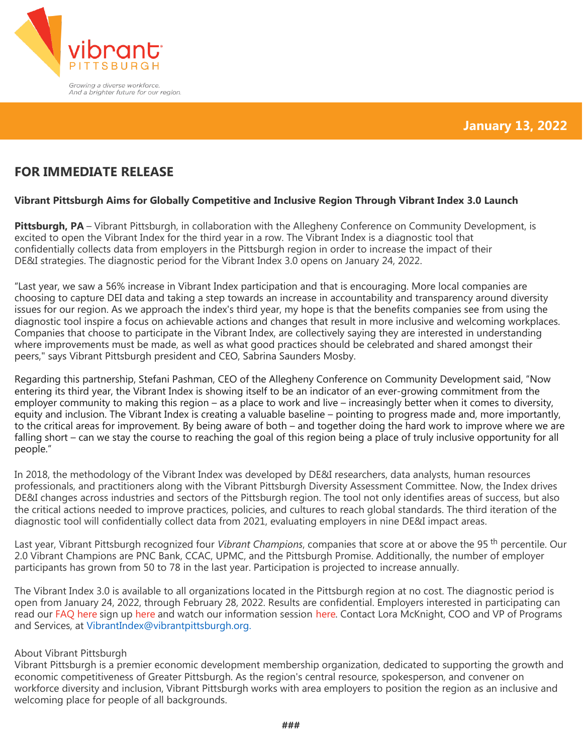

# **FOR IMMEDIATE RELEASE**

## **Vibrant Pittsburgh Aims for Globally Competitive and Inclusive Region Through Vibrant Index 3.0 Launch**

**Pittsburgh, PA** – Vibrant Pittsburgh, in collaboration with the Allegheny Conference on Community Development, is excited to open the Vibrant Index for the third year in a row. The Vibrant Index is a diagnostic tool that confidentially collects data from employers in the Pittsburgh region in order to increase the impact of their DE&I strategies. The diagnostic period for the Vibrant Index 3.0 opens on January 24, 2022.

"Last year, we saw a 56% increase in Vibrant Index participation and that is encouraging. More local companies are choosing to capture DEI data and taking a step towards an increase in accountability and transparency around diversity issues for our region. As we approach the index's third year, my hope is that the benefits companies see from using the diagnostic tool inspire a focus on achievable actions and changes that result in more inclusive and welcoming workplaces. Companies that choose to participate in the Vibrant Index, are collectively saying they are interested in understanding where improvements must be made, as well as what good practices should be celebrated and shared amongst their peers," says Vibrant Pittsburgh president and CEO, Sabrina Saunders Mosby.

Regarding this partnership, Stefani Pashman, CEO of the Allegheny Conference on Community Development said, "Now entering its third year, the Vibrant Index is showing itself to be an indicator of an ever-growing commitment from the employer community to making this region – as a place to work and live – increasingly better when it comes to diversity, equity and inclusion. The Vibrant Index is creating a valuable baseline – pointing to progress made and, more importantly, to the critical areas for improvement. By being aware of both – and together doing the hard work to improve where we are falling short – can we stay the course to reaching the goal of this region being a place of truly inclusive opportunity for all people."

In 2018, the methodology of the Vibrant Index was developed by DE&I researchers, data analysts, human resources professionals, and practitioners along with the Vibrant Pittsburgh Diversity Assessment Committee. Now, the Index drives DE&I changes across industries and sectors of the Pittsburgh region. The tool not only identifies areas of success, but also the critical actions needed to improve practices, policies, and cultures to reach global standards. The third iteration of the diagnostic tool will confidentially collect data from 2021, evaluating employers in nine DE&I impact areas.

Last year, Vibrant Pittsburgh recognized four *Vibrant Champions*, companies that score at or above the 95 th percentile. Our 2.0 Vibrant Champions are PNC Bank, CCAC, UPMC, and the Pittsburgh Promise. Additionally, the number of employer participants has grown from 50 to 78 in the last year. Participation is projected to increase annually.

The Vibrant Index 3.0 is available to all organizations located in the Pittsburgh region at no cost. The diagnostic period is open from January 24, 2022, through February 28, 2022. Results are confidential. Employers interested in participating can read our [FAQ](http://www.vibrantpittsburgh.org/Module/DocMan/DocFileFile?id=128) here sign up [here](https://bit.ly/3r3nS7E) and watch our information session [here](https://youtu.be/tGIWFZOKqRU). Contact Lora McKnight, COO and VP of Programs and Services, at [VibrantIndex@vibrantpittsburgh.org.](mailto:VibrantIndex@vibrantpittsburgh.org)

#### About Vibrant Pittsburgh

Vibrant Pittsburgh is a premier economic development membership organization, dedicated to supporting the growth and economic competitiveness of Greater Pittsburgh. As the region's central resource, spokesperson, and convener on workforce diversity and inclusion, Vibrant Pittsburgh works with area employers to position the region as an inclusive and welcoming place for people of all backgrounds.